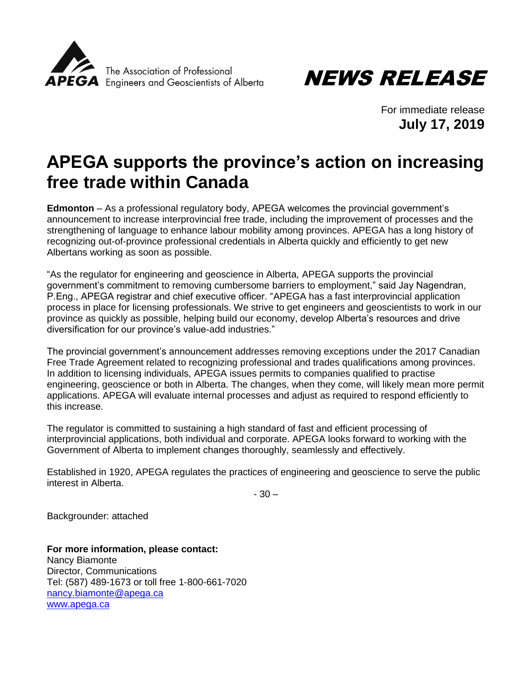



For immediate release **July 17, 2019**

## **APEGA supports the province's action on increasing free trade within Canada**

**Edmonton** – As a professional regulatory body, APEGA welcomes the provincial government's announcement to increase interprovincial free trade, including the improvement of processes and the strengthening of language to enhance labour mobility among provinces. APEGA has a long history of recognizing out-of-province professional credentials in Alberta quickly and efficiently to get new Albertans working as soon as possible.

"As the regulator for engineering and geoscience in Alberta, APEGA supports the provincial government's commitment to removing cumbersome barriers to employment," said Jay Nagendran, P.Eng., APEGA registrar and chief executive officer. "APEGA has a fast interprovincial application process in place for licensing professionals. We strive to get engineers and geoscientists to work in our province as quickly as possible, helping build our economy, develop Alberta's resources and drive diversification for our province's value-add industries."

The provincial government's announcement addresses removing exceptions under the 2017 Canadian Free Trade Agreement related to recognizing professional and trades qualifications among provinces. In addition to licensing individuals, APEGA issues permits to companies qualified to practise engineering, geoscience or both in Alberta. The changes, when they come, will likely mean more permit applications. APEGA will evaluate internal processes and adjust as required to respond efficiently to this increase.

The regulator is committed to sustaining a high standard of fast and efficient processing of interprovincial applications, both individual and corporate. APEGA looks forward to working with the Government of Alberta to implement changes thoroughly, seamlessly and effectively.

Established in 1920, APEGA regulates the practices of engineering and geoscience to serve the public interest in Alberta.

- 30 –

Backgrounder: attached

**For more information, please contact:** Nancy Biamonte Director, Communications Tel: (587) 489-1673 or toll free 1-800-661-7020 [nancy.biamonte@apega.ca](mailto:nancy.biamonte@apega.ca) [www.apega.ca](http://www.apega.ca/)